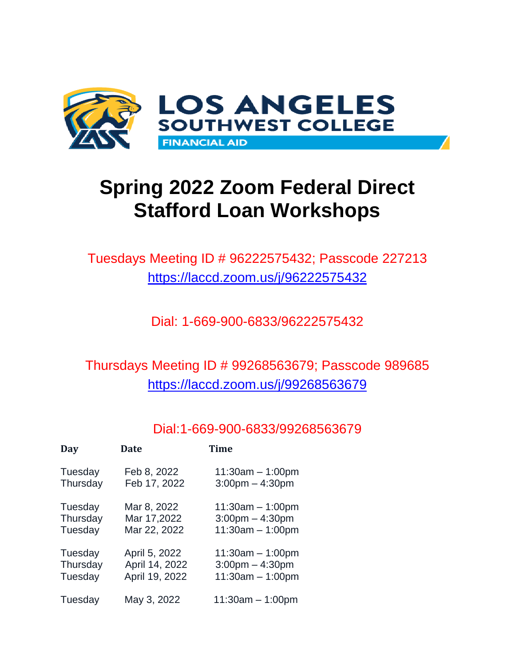

# **Spring 2022 Zoom Federal Direct Stafford Loan Workshops**

Tuesdays Meeting ID # 96222575432; Passcode 227213 [https://laccd.zoom.us/j/9](https://laccd.zoom.us/j/)6222575432

Dial: 1-669-900-6833/96222575432

### Thursdays Meeting ID # 99268563679; Passcode 989685 <https://laccd.zoom.us/j/99268563679>

### Dial:1-669-900-6833/99268563679

| Day      | <b>Date</b>    | Time                 |
|----------|----------------|----------------------|
| Tuesday  | Feb 8, 2022    | $11:30am - 1:00pm$   |
| Thursday | Feb 17, 2022   | $3:00$ pm $-4:30$ pm |
| Tuesday  | Mar 8, 2022    | $11:30am - 1:00pm$   |
| Thursday | Mar 17,2022    | $3:00$ pm $-4:30$ pm |
| Tuesday  | Mar 22, 2022   | $11:30am - 1:00pm$   |
| Tuesday  | April 5, 2022  | $11:30am - 1:00pm$   |
| Thursday | April 14, 2022 | $3:00$ pm $-4:30$ pm |
| Tuesday  | April 19, 2022 | $11:30am - 1:00pm$   |
| Tuesday  | May 3, 2022    | $11:30am - 1:00pm$   |